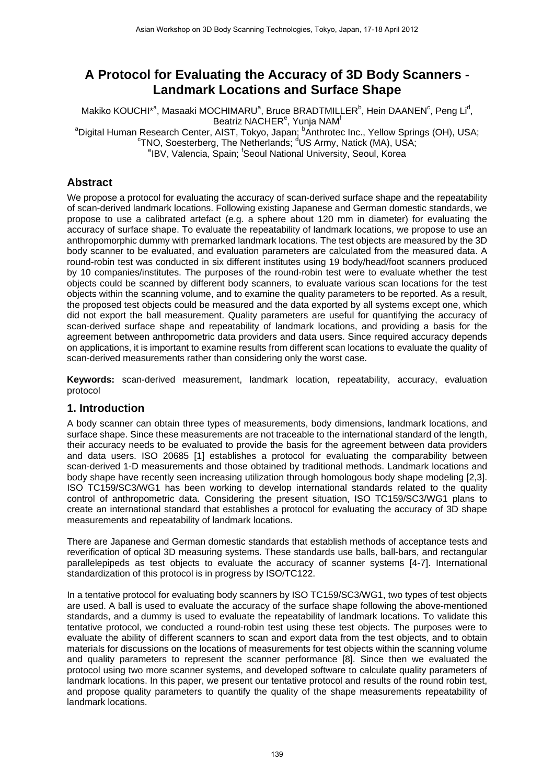# **A Protocol for Evaluating the Accuracy of 3D Body Scanners - Landmark Locations and Surface Shape**

Makiko KOUCHI\*<sup>a</sup>, Masaaki MOCHIMARU<sup>a</sup>, Bruce BRADTMILLER<sup>b</sup>, Hein DAANEN<sup>c</sup>, Peng Li<sup>d</sup>, Beatriz NACHER<sup>e</sup>, Yunja NAM<sup>f</sup> <sup>a</sup>Digital Human Research Center, AIST, Tokyo, Japan; <sup>b</sup>Anthrotec Inc., Yellow Springs (OH), USA;<br><sup>c</sup>TNO Secatorhara The Netherlands <sup>d</sup>US Army Natiak (MA), USA; TNO, Soesterberg, The Netherlands; <sup>d</sup>US Army, Natick (MA), USA;<br>
<sup>e</sup>IBM, Malancia, Spoin: Spoul National University, Seoul, Korea IBV, Valencia, Spain; <sup>f</sup>Seoul National University, Seoul, Korea

## **Abstract**

We propose a protocol for evaluating the accuracy of scan-derived surface shape and the repeatability of scan-derived landmark locations. Following existing Japanese and German domestic standards, we propose to use a calibrated artefact (e.g. a sphere about 120 mm in diameter) for evaluating the accuracy of surface shape. To evaluate the repeatability of landmark locations, we propose to use an anthropomorphic dummy with premarked landmark locations. The test objects are measured by the 3D body scanner to be evaluated, and evaluation parameters are calculated from the measured data. A round-robin test was conducted in six different institutes using 19 body/head/foot scanners produced by 10 companies/institutes. The purposes of the round-robin test were to evaluate whether the test objects could be scanned by different body scanners, to evaluate various scan locations for the test objects within the scanning volume, and to examine the quality parameters to be reported. As a result, the proposed test objects could be measured and the data exported by all systems except one, which did not export the ball measurement. Quality parameters are useful for quantifying the accuracy of scan-derived surface shape and repeatability of landmark locations, and providing a basis for the agreement between anthropometric data providers and data users. Since required accuracy depends on applications, it is important to examine results from different scan locations to evaluate the quality of scan-derived measurements rather than considering only the worst case.

**Keywords:** scan-derived measurement, landmark location, repeatability, accuracy, evaluation protocol

## **1. Introduction**

A body scanner can obtain three types of measurements, body dimensions, landmark locations, and surface shape. Since these measurements are not traceable to the international standard of the length, their accuracy needs to be evaluated to provide the basis for the agreement between data providers and data users. ISO 20685 [1] establishes a protocol for evaluating the comparability between scan-derived 1-D measurements and those obtained by traditional methods. Landmark locations and body shape have recently seen increasing utilization through homologous body shape modeling [2,3]. ISO TC159/SC3/WG1 has been working to develop international standards related to the quality control of anthropometric data. Considering the present situation, ISO TC159/SC3/WG1 plans to create an international standard that establishes a protocol for evaluating the accuracy of 3D shape measurements and repeatability of landmark locations.

There are Japanese and German domestic standards that establish methods of acceptance tests and reverification of optical 3D measuring systems. These standards use balls, ball-bars, and rectangular parallelepipeds as test objects to evaluate the accuracy of scanner systems [4-7]. International standardization of this protocol is in progress by ISO/TC122.

In a tentative protocol for evaluating body scanners by ISO TC159/SC3/WG1, two types of test objects are used. A ball is used to evaluate the accuracy of the surface shape following the above-mentioned standards, and a dummy is used to evaluate the repeatability of landmark locations. To validate this tentative protocol, we conducted a round-robin test using these test objects. The purposes were to evaluate the ability of different scanners to scan and export data from the test objects, and to obtain materials for discussions on the locations of measurements for test objects within the scanning volume and quality parameters to represent the scanner performance [8]. Since then we evaluated the protocol using two more scanner systems, and developed software to calculate quality parameters of landmark locations. In this paper, we present our tentative protocol and results of the round robin test, and propose quality parameters to quantify the quality of the shape measurements repeatability of landmark locations.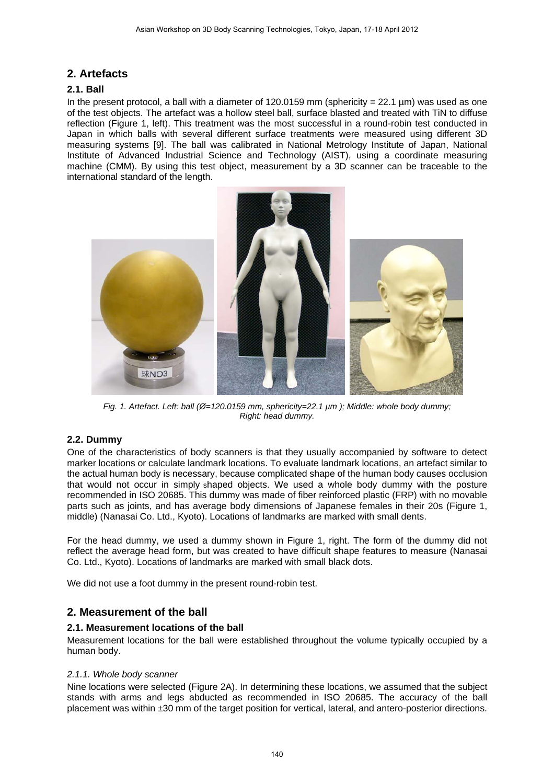## **2. Artefacts**

## **2.1. Ball**

In the present protocol, a ball with a diameter of 120.0159 mm (sphericity =  $22.1$  µm) was used as one of the test objects. The artefact was a hollow steel ball, surface blasted and treated with TiN to diffuse reflection (Figure 1, left). This treatment was the most successful in a round-robin test conducted in Japan in which balls with several different surface treatments were measured using different 3D measuring systems [9]. The ball was calibrated in National Metrology Institute of Japan, National Institute of Advanced Industrial Science and Technology (AIST), using a coordinate measuring machine (CMM). By using this test object, measurement by a 3D scanner can be traceable to the international standard of the length.



*Fig. 1. Artefact. Left: ball (Ø=120.0159 mm, sphericity=22.1 µm ); Middle: whole body dummy; Right: head dummy.* 

## **2.2. Dummy**

One of the characteristics of body scanners is that they usually accompanied by software to detect marker locations or calculate landmark locations. To evaluate landmark locations, an artefact similar to the actual human body is necessary, because complicated shape of the human body causes occlusion that would not occur in simply shaped objects. We used a whole body dummy with the posture recommended in ISO 20685. This dummy was made of fiber reinforced plastic (FRP) with no movable parts such as joints, and has average body dimensions of Japanese females in their 20s (Figure 1, middle) (Nanasai Co. Ltd., Kyoto). Locations of landmarks are marked with small dents.

For the head dummy, we used a dummy shown in Figure 1, right. The form of the dummy did not reflect the average head form, but was created to have difficult shape features to measure (Nanasai Co. Ltd., Kyoto). Locations of landmarks are marked with small black dots.

We did not use a foot dummy in the present round-robin test.

## **2. Measurement of the ball**

### **2.1. Measurement locations of the ball**

Measurement locations for the ball were established throughout the volume typically occupied by a human body.

### *2.1.1. Whole body scanner*

Nine locations were selected (Figure 2A). In determining these locations, we assumed that the subject stands with arms and legs abducted as recommended in ISO 20685. The accuracy of the ball placement was within ±30 mm of the target position for vertical, lateral, and antero-posterior directions.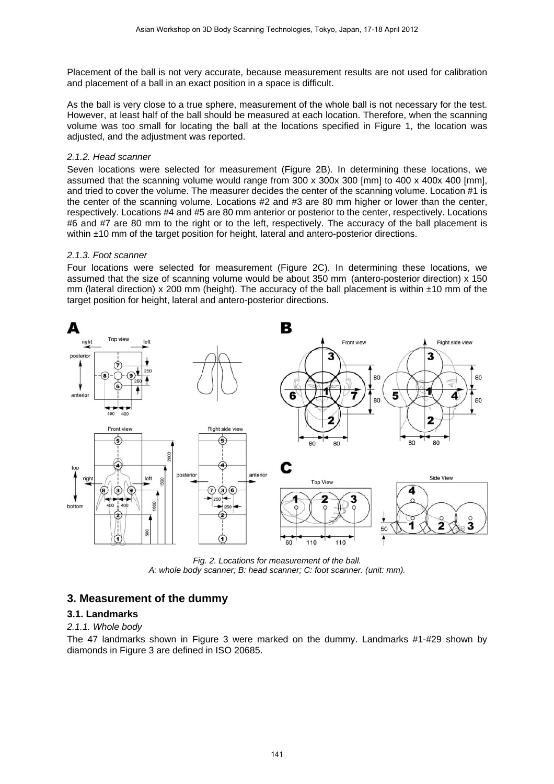Placement of the ball is not very accurate, because measurement results are not used for calibration and placement of a ball in an exact position in a space is difficult.

As the ball is very close to a true sphere, measurement of the whole ball is not necessary for the test. However, at least half of the ball should be measured at each location. Therefore, when the scanning volume was too small for locating the ball at the locations specified in Figure 1, the location was adjusted, and the adjustment was reported.

### *2.1.2. Head scanner*

Seven locations were selected for measurement (Figure 2B). In determining these locations, we assumed that the scanning volume would range from 300 x 300x 300 [mm] to 400 x 400x 400 [mm], and tried to cover the volume. The measurer decides the center of the scanning volume. Location #1 is the center of the scanning volume. Locations #2 and #3 are 80 mm higher or lower than the center, respectively. Locations #4 and #5 are 80 mm anterior or posterior to the center, respectively. Locations #6 and #7 are 80 mm to the right or to the left, respectively. The accuracy of the ball placement is within  $\pm 10$  mm of the target position for height, lateral and antero-posterior directions.

### *2.1.3. Foot scanner*

Four locations were selected for measurement (Figure 2C). In determining these locations, we assumed that the size of scanning volume would be about 350 mm (antero-posterior direction) x 150 mm (lateral direction) x 200 mm (height). The accuracy of the ball placement is within  $\pm 10$  mm of the target position for height, lateral and antero-posterior directions.



*Fig. 2. Locations for measurement of the ball. A: whole body scanner; B: head scanner; C: foot scanner. (unit: mm).*

## **3. Measurement of the dummy**

### **3.1. Landmarks**

### *2.1.1. Whole body*

The 47 landmarks shown in Figure 3 were marked on the dummy. Landmarks #1-#29 shown by diamonds in Figure 3 are defined in ISO 20685.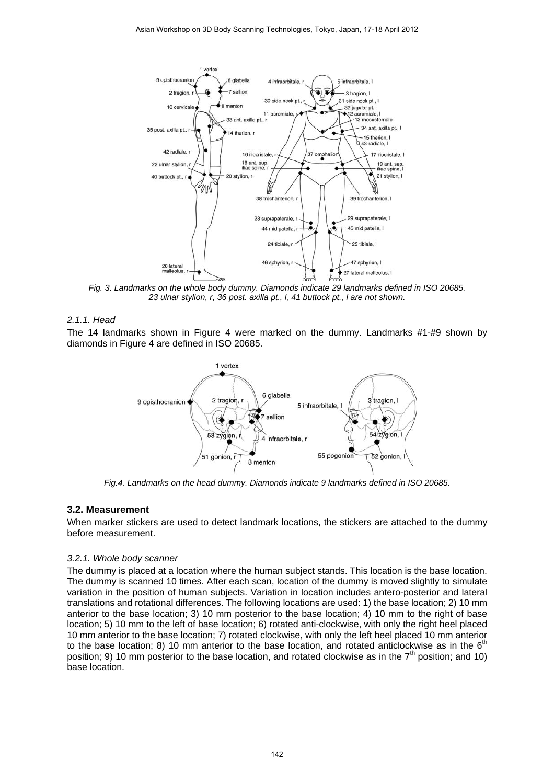

*Fig. 3. Landmarks on the whole body dummy. Diamonds indicate 29 landmarks defined in ISO 20685. 23 ulnar stylion, r, 36 post. axilla pt., l, 41 buttock pt., l are not shown.* 

#### *2.1.1. Head*

The 14 landmarks shown in Figure 4 were marked on the dummy. Landmarks #1-#9 shown by diamonds in Figure 4 are defined in ISO 20685.



*Fig.4. Landmarks on the head dummy. Diamonds indicate 9 landmarks defined in ISO 20685.* 

### **3.2. Measurement**

When marker stickers are used to detect landmark locations, the stickers are attached to the dummy before measurement.

#### *3.2.1. Whole body scanner*

The dummy is placed at a location where the human subject stands. This location is the base location. The dummy is scanned 10 times. After each scan, location of the dummy is moved slightly to simulate variation in the position of human subjects. Variation in location includes antero-posterior and lateral translations and rotational differences. The following locations are used: 1) the base location; 2) 10 mm anterior to the base location; 3) 10 mm posterior to the base location; 4) 10 mm to the right of base location; 5) 10 mm to the left of base location; 6) rotated anti-clockwise, with only the right heel placed 10 mm anterior to the base location; 7) rotated clockwise, with only the left heel placed 10 mm anterior to the base location; 8) 10 mm anterior to the base location, and rotated anticlockwise as in the  $6<sup>th</sup>$ position; 9) 10 mm posterior to the base location, and rotated clockwise as in the  $7<sup>th</sup>$  position; and 10) base location.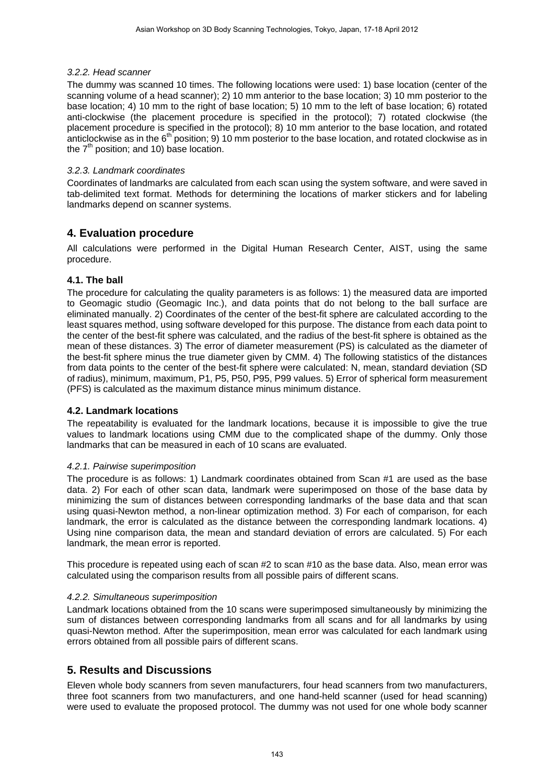## *3.2.2. Head scanner*

The dummy was scanned 10 times. The following locations were used: 1) base location (center of the scanning volume of a head scanner); 2) 10 mm anterior to the base location; 3) 10 mm posterior to the base location; 4) 10 mm to the right of base location; 5) 10 mm to the left of base location; 6) rotated anti-clockwise (the placement procedure is specified in the protocol); 7) rotated clockwise (the placement procedure is specified in the protocol); 8) 10 mm anterior to the base location, and rotated anticlockwise as in the  $6<sup>th</sup>$  position; 9) 10 mm posterior to the base location, and rotated clockwise as in the  $7<sup>th</sup>$  position; and 10) base location.

## *3.2.3. Landmark coordinates*

Coordinates of landmarks are calculated from each scan using the system software, and were saved in tab-delimited text format. Methods for determining the locations of marker stickers and for labeling landmarks depend on scanner systems.

## **4. Evaluation procedure**

All calculations were performed in the Digital Human Research Center, AIST, using the same procedure.

## **4.1. The ball**

The procedure for calculating the quality parameters is as follows: 1) the measured data are imported to Geomagic studio (Geomagic Inc.), and data points that do not belong to the ball surface are eliminated manually. 2) Coordinates of the center of the best-fit sphere are calculated according to the least squares method, using software developed for this purpose. The distance from each data point to the center of the best-fit sphere was calculated, and the radius of the best-fit sphere is obtained as the mean of these distances. 3) The error of diameter measurement (PS) is calculated as the diameter of the best-fit sphere minus the true diameter given by CMM. 4) The following statistics of the distances from data points to the center of the best-fit sphere were calculated: N, mean, standard deviation (SD of radius), minimum, maximum, P1, P5, P50, P95, P99 values. 5) Error of spherical form measurement (PFS) is calculated as the maximum distance minus minimum distance.

### **4.2. Landmark locations**

The repeatability is evaluated for the landmark locations, because it is impossible to give the true values to landmark locations using CMM due to the complicated shape of the dummy. Only those landmarks that can be measured in each of 10 scans are evaluated.

### *4.2.1. Pairwise superimposition*

The procedure is as follows: 1) Landmark coordinates obtained from Scan #1 are used as the base data. 2) For each of other scan data, landmark were superimposed on those of the base data by minimizing the sum of distances between corresponding landmarks of the base data and that scan using quasi-Newton method, a non-linear optimization method. 3) For each of comparison, for each landmark, the error is calculated as the distance between the corresponding landmark locations. 4) Using nine comparison data, the mean and standard deviation of errors are calculated. 5) For each landmark, the mean error is reported.

This procedure is repeated using each of scan #2 to scan #10 as the base data. Also, mean error was calculated using the comparison results from all possible pairs of different scans.

### *4.2.2. Simultaneous superimposition*

Landmark locations obtained from the 10 scans were superimposed simultaneously by minimizing the sum of distances between corresponding landmarks from all scans and for all landmarks by using quasi-Newton method. After the superimposition, mean error was calculated for each landmark using errors obtained from all possible pairs of different scans.

## **5. Results and Discussions**

Eleven whole body scanners from seven manufacturers, four head scanners from two manufacturers, three foot scanners from two manufacturers, and one hand-held scanner (used for head scanning) were used to evaluate the proposed protocol. The dummy was not used for one whole body scanner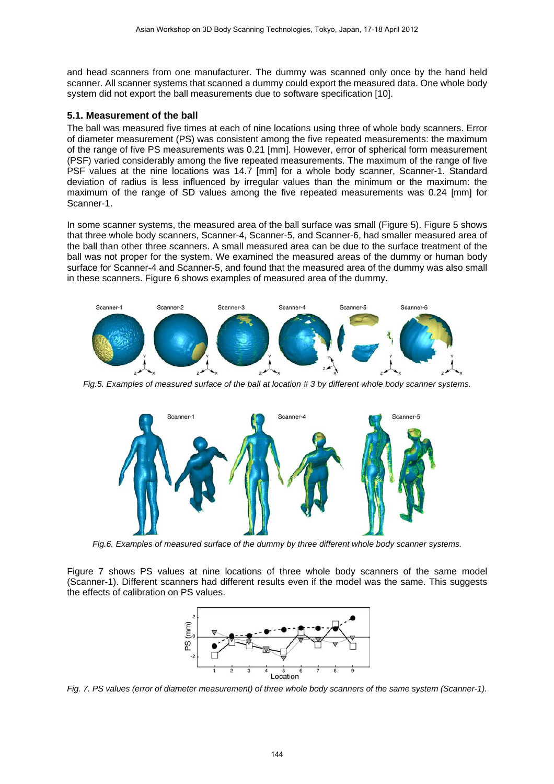and head scanners from one manufacturer. The dummy was scanned only once by the hand held scanner. All scanner systems that scanned a dummy could export the measured data. One whole body system did not export the ball measurements due to software specification [10].

### **5.1. Measurement of the ball**

The ball was measured five times at each of nine locations using three of whole body scanners. Error of diameter measurement (PS) was consistent among the five repeated measurements: the maximum of the range of five PS measurements was 0.21 [mm]. However, error of spherical form measurement (PSF) varied considerably among the five repeated measurements. The maximum of the range of five PSF values at the nine locations was 14.7 [mm] for a whole body scanner, Scanner-1. Standard deviation of radius is less influenced by irregular values than the minimum or the maximum: the maximum of the range of SD values among the five repeated measurements was 0.24 [mm] for Scanner-1.

In some scanner systems, the measured area of the ball surface was small (Figure 5). Figure 5 shows that three whole body scanners, Scanner-4, Scanner-5, and Scanner-6, had smaller measured area of the ball than other three scanners. A small measured area can be due to the surface treatment of the ball was not proper for the system. We examined the measured areas of the dummy or human body surface for Scanner-4 and Scanner-5, and found that the measured area of the dummy was also small in these scanners. Figure 6 shows examples of measured area of the dummy.



*Fig.5. Examples of measured surface of the ball at location # 3 by different whole body scanner systems.* 



*Fig.6. Examples of measured surface of the dummy by three different whole body scanner systems.* 

Figure 7 shows PS values at nine locations of three whole body scanners of the same model (Scanner-1). Different scanners had different results even if the model was the same. This suggests the effects of calibration on PS values.



*Fig. 7. PS values (error of diameter measurement) of three whole body scanners of the same system (Scanner-1).*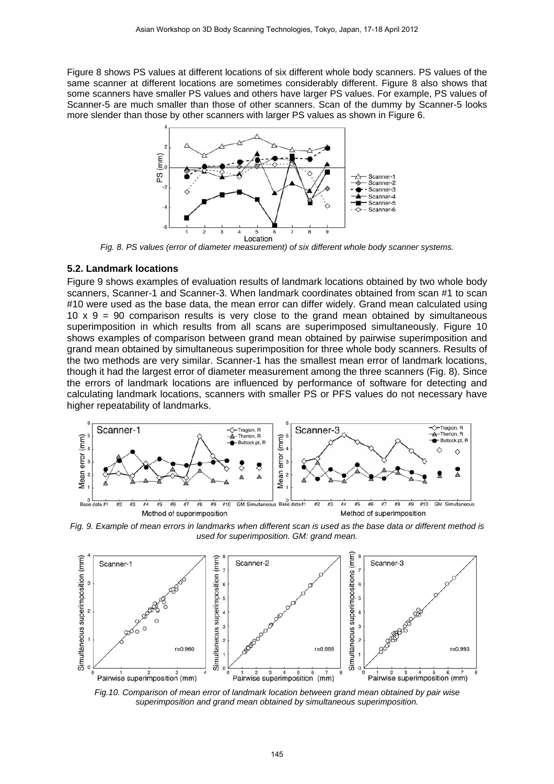Figure 8 shows PS values at different locations of six different whole body scanners. PS values of the same scanner at different locations are sometimes considerably different. Figure 8 also shows that some scanners have smaller PS values and others have larger PS values. For example, PS values of Scanner-5 are much smaller than those of other scanners. Scan of the dummy by Scanner-5 looks more slender than those by other scanners with larger PS values as shown in Figure 6.



*Fig. 8. PS values (error of diameter measurement) of six different whole body scanner systems.* 

#### **5.2. Landmark locations**

Figure 9 shows examples of evaluation results of landmark locations obtained by two whole body scanners, Scanner-1 and Scanner-3. When landmark coordinates obtained from scan #1 to scan #10 were used as the base data, the mean error can differ widely. Grand mean calculated using 10  $\times$  9 = 90 comparison results is very close to the grand mean obtained by simultaneous superimposition in which results from all scans are superimposed simultaneously. Figure 10 shows examples of comparison between grand mean obtained by pairwise superimposition and grand mean obtained by simultaneous superimposition for three whole body scanners. Results of the two methods are very similar. Scanner-1 has the smallest mean error of landmark locations, though it had the largest error of diameter measurement among the three scanners (Fig. 8). Since the errors of landmark locations are influenced by performance of software for detecting and calculating landmark locations, scanners with smaller PS or PFS values do not necessary have higher repeatability of landmarks.



*Fig. 9. Example of mean errors in landmarks when different scan is used as the base data or different method is used for superimposition. GM: grand mean.* 



*Fig.10. Comparison of mean error of landmark location between grand mean obtained by pair wise superimposition and grand mean obtained by simultaneous superimposition.*